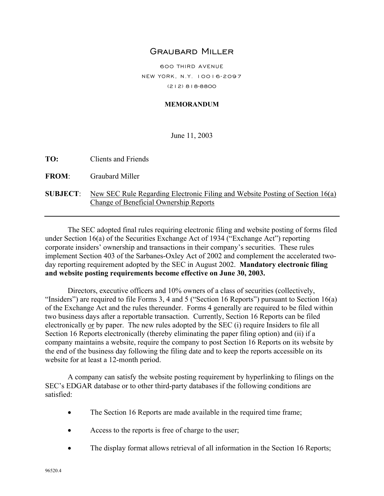## Graubard Miller

600 THIRD AVENUE NEW YORK, N.Y. 10016-2097 (212) 818-8800

#### **MEMORANDUM**

June 11, 2003

**TO:** Clients and Friends

**FROM**: Graubard Miller

#### **SUBJECT**: New SEC Rule Regarding Electronic Filing and Website Posting of Section 16(a) Change of Beneficial Ownership Reports

The SEC adopted final rules requiring electronic filing and website posting of forms filed under Section 16(a) of the Securities Exchange Act of 1934 ("Exchange Act") reporting corporate insiders' ownership and transactions in their company's securities. These rules implement Section 403 of the Sarbanes-Oxley Act of 2002 and complement the accelerated twoday reporting requirement adopted by the SEC in August 2002. **Mandatory electronic filing and website posting requirements become effective on June 30, 2003.**

Directors, executive officers and 10% owners of a class of securities (collectively, "Insiders") are required to file Forms 3, 4 and 5 ("Section 16 Reports") pursuant to Section 16(a) of the Exchange Act and the rules thereunder. Forms 4 generally are required to be filed within two business days after a reportable transaction. Currently, Section 16 Reports can be filed electronically or by paper. The new rules adopted by the SEC (i) require Insiders to file all Section 16 Reports electronically (thereby eliminating the paper filing option) and (ii) if a company maintains a website, require the company to post Section 16 Reports on its website by the end of the business day following the filing date and to keep the reports accessible on its website for at least a 12-month period.

A company can satisfy the website posting requirement by hyperlinking to filings on the SEC's EDGAR database or to other third-party databases if the following conditions are satisfied:

- The Section 16 Reports are made available in the required time frame;
- Access to the reports is free of charge to the user;
- The display format allows retrieval of all information in the Section 16 Reports;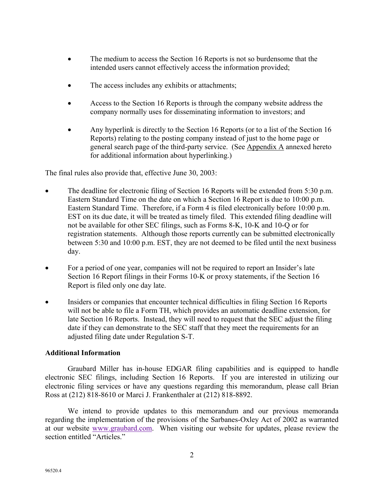- The medium to access the Section 16 Reports is not so burdensome that the intended users cannot effectively access the information provided;
- The access includes any exhibits or attachments;
- Access to the Section 16 Reports is through the company website address the company normally uses for disseminating information to investors; and
- Any hyperlink is directly to the Section 16 Reports (or to a list of the Section 16 Reports) relating to the posting company instead of just to the home page or general search page of the third-party service. (See Appendix A annexed hereto for additional information about hyperlinking.)

The final rules also provide that, effective June 30, 2003:

- The deadline for electronic filing of Section 16 Reports will be extended from 5:30 p.m. Eastern Standard Time on the date on which a Section 16 Report is due to 10:00 p.m. Eastern Standard Time. Therefore, if a Form 4 is filed electronically before 10:00 p.m. EST on its due date, it will be treated as timely filed. This extended filing deadline will not be available for other SEC filings, such as Forms 8-K, 10-K and 10-Q or for registration statements. Although those reports currently can be submitted electronically between 5:30 and 10:00 p.m. EST, they are not deemed to be filed until the next business day.
- For a period of one year, companies will not be required to report an Insider's late Section 16 Report filings in their Forms 10-K or proxy statements, if the Section 16 Report is filed only one day late.
- Insiders or companies that encounter technical difficulties in filing Section 16 Reports will not be able to file a Form TH, which provides an automatic deadline extension, for late Section 16 Reports. Instead, they will need to request that the SEC adjust the filing date if they can demonstrate to the SEC staff that they meet the requirements for an adjusted filing date under Regulation S-T.

### **Additional Information**

Graubard Miller has in-house EDGAR filing capabilities and is equipped to handle electronic SEC filings, including Section 16 Reports. If you are interested in utilizing our electronic filing services or have any questions regarding this memorandum, please call Brian Ross at (212) 818-8610 or Marci J. Frankenthaler at (212) 818-8892.

We intend to provide updates to this memorandum and our previous memoranda regarding the implementation of the provisions of the Sarbanes-Oxley Act of 2002 as warranted at our website www.graubard.com. When visiting our website for updates, please review the section entitled "Articles."